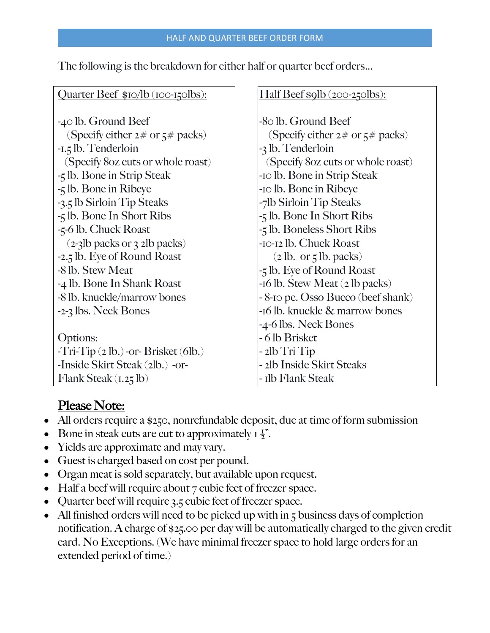The following is the breakdown for either half or quarter beef orders…

## Quarter Beef  $$10/1b$  (100-150lbs):

-40 lb. Ground Beef (Specify either  $2 \#$  or  $5 \#$  packs) -1.5 lb. Tenderloin (Specify 8oz cuts or whole roast) -5 lb. Bone in Strip Steak -5 lb. Bone in Ribeye -3.5 lb Sirloin Tip Steaks -5 lb. Bone In Short Ribs -5-6 lb. Chuck Roast (2-3lb packs or 3 2lb packs) -2.5 lb. Eye of Round Roast -8 lb. Stew Meat -4 lb. Bone In Shank Roast -8 lb. knuckle/marrow bones -2-3 lbs. Neck Bones Options: -Tri-Tip (2 lb.) -or- Brisket (6lb.) -Inside Skirt Steak (2lb.) -or-

## Half Beef \$9lb (200-250lbs):

-80 lb. Ground Beef (Specify either  $2 \#$  or  $5 \#$  packs) -3 lb. Tenderloin (Specify 8oz cuts or whole roast) -10 lb. Bone in Strip Steak -10 lb. Bone in Ribeye -7lb Sirloin Tip Steaks -5 lb. Bone In Short Ribs -5 lb. Boneless Short Ribs -10-12 lb. Chuck Roast  $(2$  lb. or  $\frac{1}{2}$  lb. packs) -5 lb. Eye of Round Roast -16 lb. Stew Meat (2 lb packs) - 8-10 pc. Osso Bucco (beef shank) -16 lb. knuckle & marrow bones -4-6 lbs. Neck Bones - 6 lb Brisket - 2lb Tri Tip - 2lb Inside Skirt Steaks - 1lb Flank Steak

## Please Note:

Flank Steak (1.25 lb)

- All orders require a \$250, nonrefundable deposit, due at time of form submission
- Bone in steak cuts are cut to approximately  $I_{\frac{1}{2}}$ ".
- Yields are approximate and may vary.
- Guest is charged based on cost per pound.
- Organ meat is sold separately, but available upon request.
- Half a beef will require about  $7$  cubic feet of freezer space.
- Quarter beef will require 3.5 cubic feet of freezer space.
- All finished orders will need to be picked up with in 5 business days of completion notification. A charge of \$25.00 per day will be automatically charged to the given credit card. No Exceptions. (We have minimal freezer space to hold large orders for an extended period of time.)